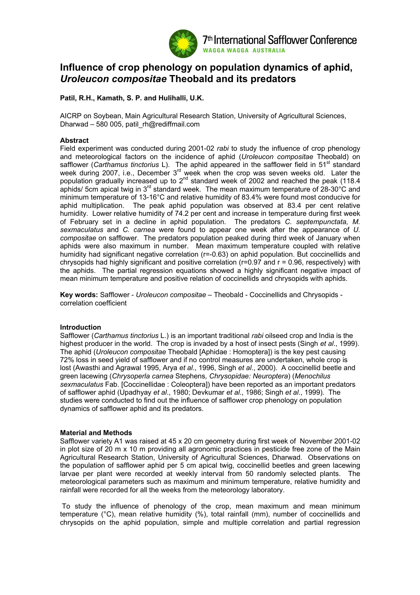

# **Influence of crop phenology on population dynamics of aphid,**  *Uroleucon compositae* **Theobald and its predators**

# **Patil, R.H., Kamath, S. P. and Hulihalli, U.K.**

AICRP on Soybean, Main Agricultural Research Station, University of Agricultural Sciences, Dharwad – 580 005, patil\_rh@rediffmail.com

## **Abstract**

Field experiment was conducted during 2001-02 *rabi* to study the influence of crop phenology and meteorological factors on the incidence of aphid (*Uroleucon compositae* Theobald) on safflower (*Carthamus tinctorius* L). The aphid appeared in the safflower field in 51<sup>st</sup> standard week during 2007, i.e., December 3<sup>rd</sup> week when the crop was seven weeks old. Later the population gradually increased up to  $2<sup>nd</sup>$  standard week of 2002 and reached the peak (118.4) aphids/ 5cm apical twig in 3<sup>rd</sup> standard week. The mean maximum temperature of 28-30°C and minimum temperature of 13-16°C and relative humidity of 83.4% were found most conducive for aphid multiplication. The peak aphid population was observed at 83.4 per cent relative humidity. Lower relative humidity of 74.2 per cent and increase in temperature during first week of February set in a decline in aphid population. The predators *C. septempunctata, M. sexmaculatus* and *C. carnea* were found to appear one week after the appearance of *U. compositae* on safflower. The predators population peaked during third week of January when aphids were also maximum in number. Mean maximum temperature coupled with relative humidity had significant negative correlation (r=-0.63) on aphid population. But coccinellids and chrysopids had highly significant and positive correlation ( $r=0.97$  and  $r=0.96$ , respectively) with the aphids. The partial regression equations showed a highly significant negative impact of mean minimum temperature and positive relation of coccinellids and chrysopids with aphids.

**Key words:** Safflower - *Uroleucon compositae –* Theobald - Coccinellids and Chrysopids correlation coefficient

# **Introduction**

Safflower (*Carthamus tinctorius* L.) is an important traditional *rabi* oilseed crop and India is the highest producer in the world. The crop is invaded by a host of insect pests (Singh *et al*., 1999). The aphid (*Uroleucon compositae* Theobald [Aphidae : Homoptera]) is the key pest causing 72% loss in seed yield of safflower and if no control measures are undertaken, whole crop is lost (Awasthi and Agrawal 1995, Arya *et al*., 1996, Singh *et al*., 2000). A coccinellid beetle and green lacewing (*Chrysoperla carnea* Stephens*, Chrysopidae: Neuroptera*) (*Menochilus sexmaculatus* Fab. [Coccinellidae : Coleoptera]) have been reported as an important predators of safflower aphid (Upadhyay *et al*., 1980; Devkumar *et al*., 1986; Singh *et al*., 1999). The studies were conducted to find out the influence of safflower crop phenology on population dynamics of safflower aphid and its predators.

#### **Material and Methods**

Safflower variety A1 was raised at 45 x 20 cm geometry during first week of November 2001-02 in plot size of 20 m x 10 m providing all agronomic practices in pesticide free zone of the Main Agricultural Research Station, University of Agricultural Sciences, Dharwad. Observations on the population of safflower aphid per 5 cm apical twig, coccinellid beetles and green lacewing larvae per plant were recorded at weekly interval from 50 randomly selected plants. The meteorological parameters such as maximum and minimum temperature, relative humidity and rainfall were recorded for all the weeks from the meteorology laboratory.

 To study the influence of phenology of the crop, mean maximum and mean minimum temperature (°C), mean relative humidity (%), total rainfall (mm), number of coccinellids and chrysopids on the aphid population, simple and multiple correlation and partial regression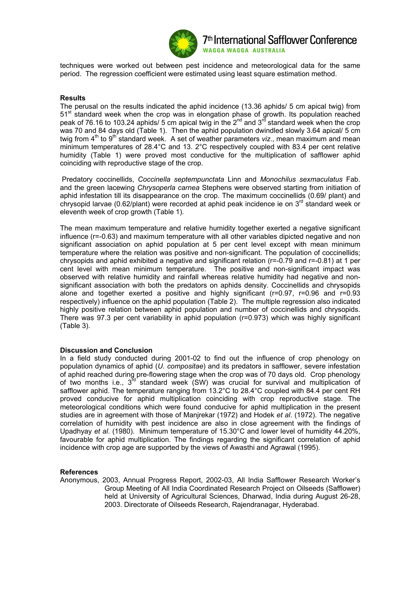

techniques were worked out between pest incidence and meteorological data for the same period. The regression coefficient were estimated using least square estimation method.

## **Results**

The perusal on the results indicated the aphid incidence (13.36 aphids/ 5 cm apical twig) from 51<sup>st</sup> standard week when the crop was in elongation phase of growth. Its population reached peak of 76.16 to 103.24 aphids/ 5 cm apical twig in the 2<sup>nd</sup> and 3<sup>rd</sup> standard week when the crop was 70 and 84 days old (Table 1). Then the aphid population dwindled slowly 3.64 apical/ 5 cm twig from 4<sup>th</sup> to 9<sup>th</sup> standard week. A set of weather parameters *viz*., mean maximum and mean minimum temperatures of 28.4°C and 13. 2°C respectively coupled with 83.4 per cent relative humidity (Table 1) were proved most conductive for the multiplication of safflower aphid coinciding with reproductive stage of the crop.

 Predatory coccinellids, *Coccinella septempunctata* Linn and *Monochilus sexmaculatus* Fab. and the green lacewing *Chrysoperla carnea* Stephens were observed starting from initiation of aphid infestation till its disappearance on the crop. The maximum coccinellids (0.69/ plant) and chrysopid larvae (0.62/plant) were recorded at aphid peak incidence ie on 3<sup>rd</sup> standard week or eleventh week of crop growth (Table 1).

The mean maximum temperature and relative humidity together exerted a negative significant influence (r=-0.63) and maximum temperature with all other variables dipicted negative and non significant association on aphid population at 5 per cent level except with mean minimum temperature where the relation was positive and non-significant. The population of coccinellids; chrysopids and aphid exhibited a negative and significant relation (r=-0.79 and r=-0.81) at 1 per cent level with mean minimum temperature. The positive and non-significant impact was observed with relative humidity and rainfall whereas relative humidity had negative and nonsignificant association with both the predators on aphids density. Coccinellids and chrysopids alone and together exerted a positive and highly significant (r=0.97, r=0.96 and r=0.93 respectively) influence on the aphid population (Table 2). The multiple regression also indicated highly positive relation between aphid population and number of coccinellids and chrysopids. There was 97.3 per cent variability in aphid population (r=0.973) which was highly significant (Table 3).

#### **Discussion and Conclusion**

In a field study conducted during 2001-02 to find out the influence of crop phenology on population dynamics of aphid (*U. compositae*) and its predators in safflower, severe infestation of aphid reached during pre-flowering stage when the crop was of 70 days old. Crop phenology of two months i.e.,  $3<sup>rd</sup>$  standard week (SW) was crucial for survival and multiplication of safflower aphid. The temperature ranging from 13.2°C to 28.4°C coupled with 84.4 per cent RH proved conducive for aphid multiplication coinciding with crop reproductive stage. The meteorological conditions which were found conducive for aphid multiplication in the present studies are in agreement with those of Manjrekar (1972) and Hodek *et al*. (1972). The negative correlation of humidity with pest incidence are also in close agreement with the findings of Upadhyay *et al*. (1980). Minimum temperature of 15.30°C and lower level of humidity 44.20%, favourable for aphid multiplication. The findings regarding the significant correlation of aphid incidence with crop age are supported by the views of Awasthi and Agrawal (1995).

# **References**

Anonymous, 2003, Annual Progress Report, 2002-03, All India Safflower Research Worker's Group Meeting of All India Coordinated Research Project on Oilseeds (Safflower) held at University of Agricultural Sciences, Dharwad, India during August 26-28, 2003. Directorate of Oilseeds Research, Rajendranagar, Hyderabad.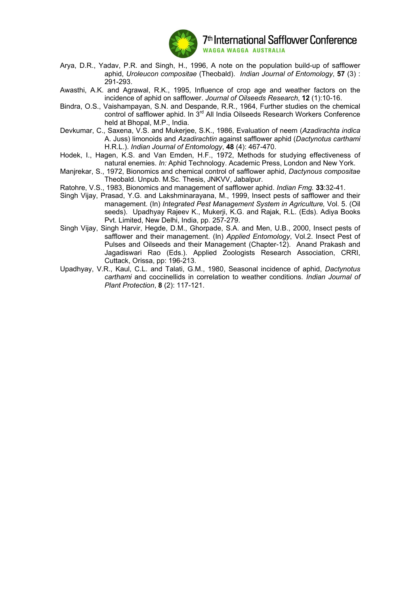

- Arya, D.R., Yadav, P.R. and Singh, H., 1996, A note on the population build-up of safflower aphid, *Uroleucon compositae* (Theobald). *Indian Journal of Entomology*, **57** (3) : 291-293.
- Awasthi, A.K. and Agrawal, R.K., 1995, Influence of crop age and weather factors on the incidence of aphid on safflower. *Journal of Oilseeds Research*, **12** (1):10-16.
- Bindra, O.S., Vaishampayan, S.N. and Despande, R.R., 1964, Further studies on the chemical control of safflower aphid. In 3<sup>rd</sup> All India Oilseeds Research Workers Conference held at Bhopal, M.P., India.
- Devkumar, C., Saxena, V.S. and Mukerjee, S.K., 1986, Evaluation of neem (*Azadirachta indica* A. Juss) limonoids and *Azadirachtin* against safflower aphid (*Dactynotus carthami* H.R.L.). *Indian Journal of Entomology*, **48** (4): 467-470.
- Hodek, I., Hagen, K.S. and Van Emden, H.F., 1972, Methods for studying effectiveness of natural enemies. *In:* Aphid Technology. Academic Press, London and New York.
- Manjrekar, S., 1972, Bionomics and chemical control of safflower aphid, *Dactynous compositae*  Theobald. Unpub. M.Sc. Thesis, JNKVV, Jabalpur.
- Ratohre, V.S., 1983, Bionomics and management of safflower aphid. *Indian Fmg.* **33**:32-41.
- Singh Vijay, Prasad, Y.G. and Lakshminarayana, M., 1999, Insect pests of safflower and their management. (In) *Integrated Pest Management System in Agriculture,* Vol. 5. (Oil seeds). Upadhyay Rajeev K., Mukerji, K.G. and Rajak, R.L. (Eds). Adiya Books Pvt. Limited, New Delhi, India, pp. 257-279.
- Singh Vijay, Singh Harvir, Hegde, D.M., Ghorpade, S.A. and Men, U.B., 2000, Insect pests of safflower and their management. (In) *Applied Entomology*, Vol.2. Insect Pest of Pulses and Oilseeds and their Management (Chapter-12). Anand Prakash and Jagadiswari Rao (Eds.). Applied Zoologists Research Association, CRRI, Cuttack, Orissa, pp: 196-213.
- Upadhyay, V.R., Kaul, C.L. and Talati, G.M., 1980, Seasonal incidence of aphid, *Dactynotus carthami* and coccinellids in correlation to weather conditions. *Indian Journal of Plant Protection*, **8** (2): 117-121.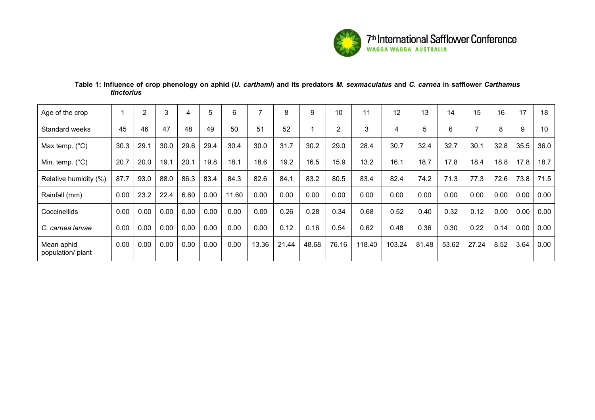

# **Table 1: Influence of crop phenology on aphid (***U. carthami***) and its predators** *M. sexmaculatus* **and** *C. carnea* **in safflower** *Carthamus tinctorius*

| Age of the crop                 |      | 2    | 3    | 4    | 5    | 6     | 7     | 8     | 9     | 10             | 11     | 12     | 13    | 14    | 15    | 16   | 17   | 18   |
|---------------------------------|------|------|------|------|------|-------|-------|-------|-------|----------------|--------|--------|-------|-------|-------|------|------|------|
| Standard weeks                  | 45   | 46   | 47   | 48   | 49   | 50    | 51    | 52    |       | $\overline{2}$ | 3      | 4      | 5     | 6     | ⇁     | 8    | 9    | 10   |
| Max temp. $(^{\circ}C)$         | 30.3 | 29.1 | 30.0 | 29.6 | 29.4 | 30.4  | 30.0  | 31.7  | 30.2  | 29.0           | 28.4   | 30.7   | 32.4  | 32.7  | 30.1  | 32.8 | 35.5 | 36.0 |
| Min. temp. $(^{\circ}C)$        | 20.7 | 20.0 | 19.1 | 20.1 | 19.8 | 18.1  | 18.6  | 19.2  | 16.5  | 15.9           | 13.2   | 16.1   | 18.7  | 17.8  | 18.4  | 18.8 | 17.8 | 18.7 |
| Relative humidity (%)           | 87.7 | 93.0 | 88.0 | 86.3 | 83.4 | 84.3  | 82.6  | 84.1  | 83.2  | 80.5           | 83.4   | 82.4   | 74.2  | 71.3  | 77.3  | 72.6 | 73.8 | 71.5 |
| Rainfall (mm)                   | 0.00 | 23.2 | 22.4 | 6.60 | 0.00 | 11.60 | 0.00  | 0.00  | 0.00  | 0.00           | 0.00   | 0.00   | 0.00  | 0.00  | 0.00  | 0.00 | 0.00 | 0.00 |
| Coccinellids                    | 0.00 | 0.00 | 0.00 | 0.00 | 0.00 | 0.00  | 0.00  | 0.26  | 0.28  | 0.34           | 0.68   | 0.52   | 0.40  | 0.32  | 0.12  | 0.00 | 0.00 | 0.00 |
| C. carnea larvae                | 0.00 | 0.00 | 0.00 | 0.00 | 0.00 | 0.00  | 0.00  | 0.12  | 0.16  | 0.54           | 0.62   | 0.48   | 0.36  | 0.30  | 0.22  | 0.14 | 0.00 | 0.00 |
| Mean aphid<br>population/ plant | 0.00 | 0.00 | 0.00 | 0.00 | 0.00 | 0.00  | 13.36 | 21.44 | 48.68 | 76.16          | 118.40 | 103.24 | 81.48 | 53.62 | 27.24 | 8.52 | 3.64 | 0.00 |